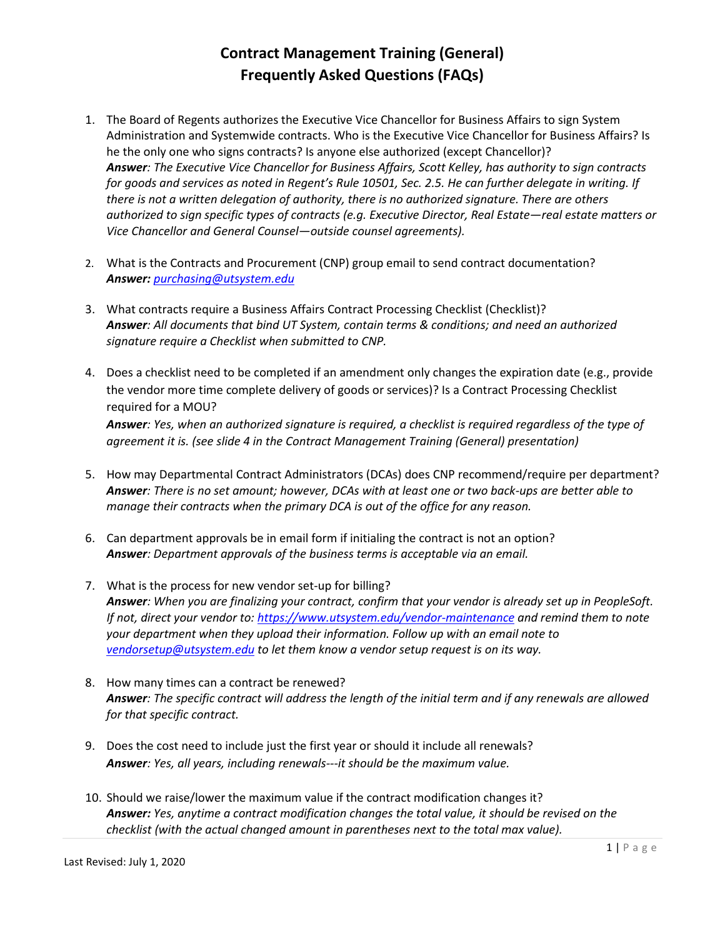- 1. The Board of Regents authorizes the Executive Vice Chancellor for Business Affairs to sign System Administration and Systemwide contracts. Who is the Executive Vice Chancellor for Business Affairs? Is he the only one who signs contracts? Is anyone else authorized (except Chancellor)? *Answer: The Executive Vice Chancellor for Business Affairs, Scott Kelley, has authority to sign contracts for goods and services as noted in Regent's Rule 10501, Sec. 2.5. He can further delegate in writing. If there is not a written delegation of authority, there is no authorized signature. There are others authorized to sign specific types of contracts (e.g. Executive Director, Real Estate—real estate matters or Vice Chancellor and General Counsel—outside counsel agreements).*
- 2. What is the Contracts and Procurement (CNP) group email to send contract documentation? *Answer: [purchasing@utsystem.edu](mailto:purchasing@utsystem.edu)*
- 3. What contracts require a Business Affairs Contract Processing Checklist (Checklist)? *Answer: All documents that bind UT System, contain terms & conditions; and need an authorized signature require a Checklist when submitted to CNP.*
- 4. Does a checklist need to be completed if an amendment only changes the expiration date (e.g., provide the vendor more time complete delivery of goods or services)? Is a Contract Processing Checklist required for a MOU? *Answer: Yes, when an authorized signature is required, a checklist is required regardless of the type of agreement it is. (see slide 4 in the Contract Management Training (General) presentation)*
- 5. How may Departmental Contract Administrators (DCAs) does CNP recommend/require per department? *Answer: There is no set amount; however, DCAs with at least one or two back-ups are better able to manage their contracts when the primary DCA is out of the office for any reason.*
- 6. Can department approvals be in email form if initialing the contract is not an option? *Answer: Department approvals of the business terms is acceptable via an email.*
- 7. What is the process for new vendor set-up for billing? *Answer: When you are finalizing your contract, confirm that your vendor is already set up in PeopleSoft. If not, direct your vendor to:<https://www.utsystem.edu/vendor-maintenance> and remind them to note your department when they upload their information. Follow up with an email note to [vendorsetup@utsystem.edu](mailto:vendorsetup@utsystem.edu) to let them know a vendor setup request is on its way.*
- 8. How many times can a contract be renewed? *Answer: The specific contract will address the length of the initial term and if any renewals are allowed for that specific contract.*
- 9. Does the cost need to include just the first year or should it include all renewals? *Answer: Yes, all years, including renewals---it should be the maximum value.*
- 10. Should we raise/lower the maximum value if the contract modification changes it? *Answer: Yes, anytime a contract modification changes the total value, it should be revised on the checklist (with the actual changed amount in parentheses next to the total max value).*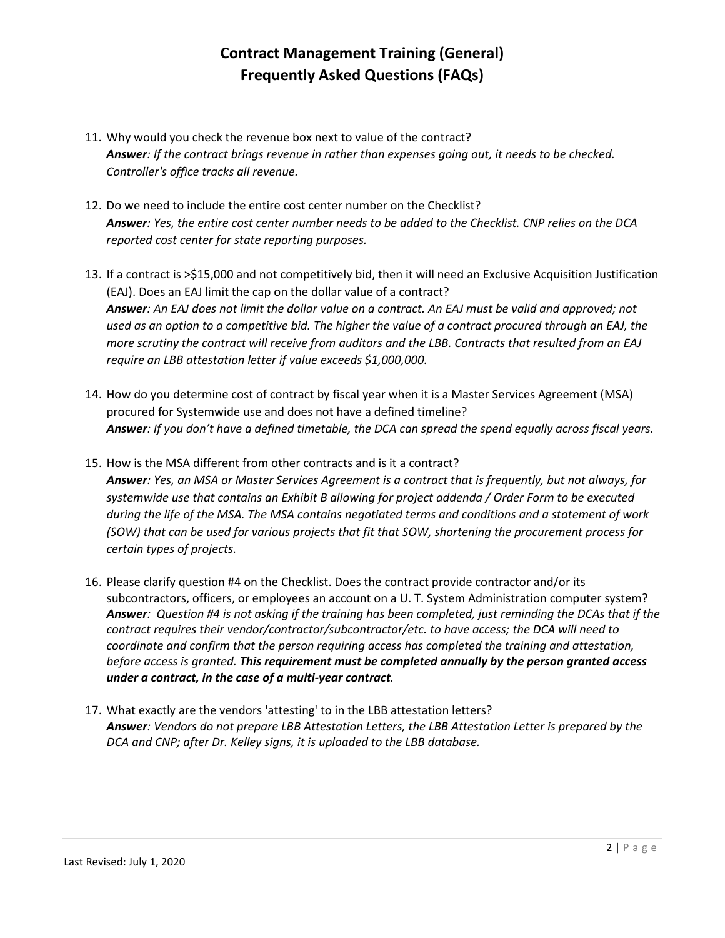- 11. Why would you check the revenue box next to value of the contract? *Answer: If the contract brings revenue in rather than expenses going out, it needs to be checked. Controller's office tracks all revenue.*
- 12. Do we need to include the entire cost center number on the Checklist? *Answer: Yes, the entire cost center number needs to be added to the Checklist. CNP relies on the DCA reported cost center for state reporting purposes.*
- 13. If a contract is >\$15,000 and not competitively bid, then it will need an Exclusive Acquisition Justification (EAJ). Does an EAJ limit the cap on the dollar value of a contract? *Answer: An EAJ does not limit the dollar value on a contract. An EAJ must be valid and approved; not used as an option to a competitive bid. The higher the value of a contract procured through an EAJ, the more scrutiny the contract will receive from auditors and the LBB. Contracts that resulted from an EAJ require an LBB attestation letter if value exceeds \$1,000,000.*
- 14. How do you determine cost of contract by fiscal year when it is a Master Services Agreement (MSA) procured for Systemwide use and does not have a defined timeline? *Answer: If you don't have a defined timetable, the DCA can spread the spend equally across fiscal years.*
- 15. How is the MSA different from other contracts and is it a contract? *Answer: Yes, an MSA or Master Services Agreement is a contract that is frequently, but not always, for systemwide use that contains an Exhibit B allowing for project addenda / Order Form to be executed during the life of the MSA. The MSA contains negotiated terms and conditions and a statement of work (SOW) that can be used for various projects that fit that SOW, shortening the procurement process for certain types of projects.*
- 16. Please clarify question #4 on the Checklist. Does the contract provide contractor and/or its subcontractors, officers, or employees an account on a U. T. System Administration computer system? *Answer: Question #4 is not asking if the training has been completed, just reminding the DCAs that if the contract requires their vendor/contractor/subcontractor/etc. to have access; the DCA will need to coordinate and confirm that the person requiring access has completed the training and attestation, before access is granted. This requirement must be completed annually by the person granted access under a contract, in the case of a multi-year contract.*
- 17. What exactly are the vendors 'attesting' to in the LBB attestation letters? *Answer: Vendors do not prepare LBB Attestation Letters, the LBB Attestation Letter is prepared by the DCA and CNP; after Dr. Kelley signs, it is uploaded to the LBB database.*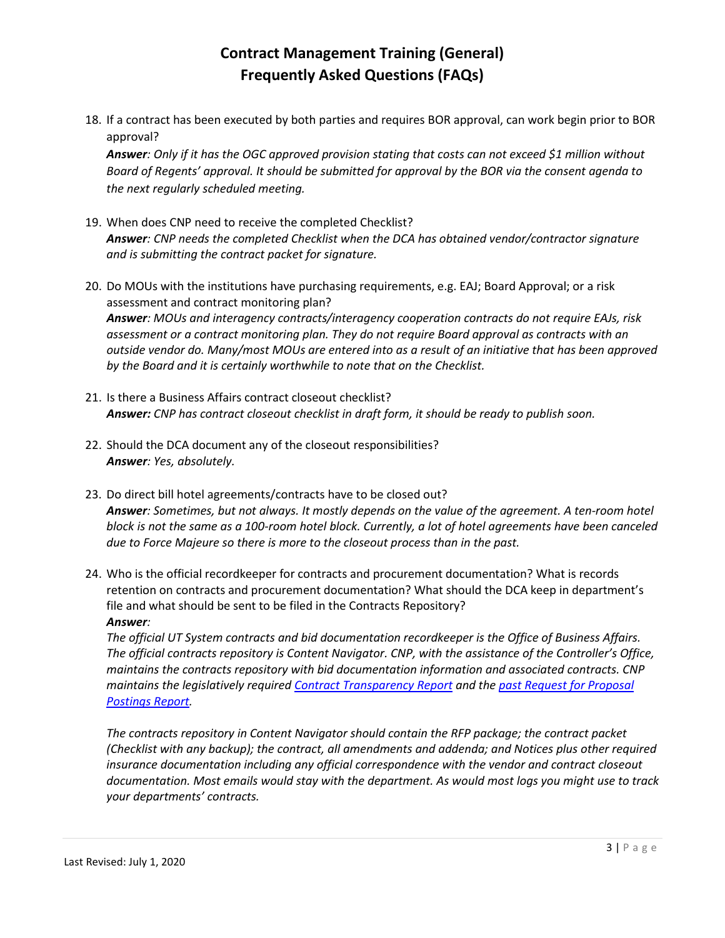18. If a contract has been executed by both parties and requires BOR approval, can work begin prior to BOR approval?

*Answer: Only if it has the OGC approved provision stating that costs can not exceed \$1 million without Board of Regents' approval. It should be submitted for approval by the BOR via the consent agenda to the next regularly scheduled meeting.*

- 19. When does CNP need to receive the completed Checklist? *Answer: CNP needs the completed Checklist when the DCA has obtained vendor/contractor signature and is submitting the contract packet for signature.*
- 20. Do MOUs with the institutions have purchasing requirements, e.g. EAJ; Board Approval; or a risk assessment and contract monitoring plan?

*Answer: MOUs and interagency contracts/interagency cooperation contracts do not require EAJs, risk assessment or a contract monitoring plan. They do not require Board approval as contracts with an outside vendor do. Many/most MOUs are entered into as a result of an initiative that has been approved by the Board and it is certainly worthwhile to note that on the Checklist.*

- 21. Is there a Business Affairs contract closeout checklist? *Answer: CNP has contract closeout checklist in draft form, it should be ready to publish soon.*
- 22. Should the DCA document any of the closeout responsibilities? *Answer: Yes, absolutely.*
- 23. Do direct bill hotel agreements/contracts have to be closed out? *Answer: Sometimes, but not always. It mostly depends on the value of the agreement. A ten-room hotel block is not the same as a 100-room hotel block. Currently, a lot of hotel agreements have been canceled due to Force Majeure so there is more to the closeout process than in the past.*
- 24. Who is the official recordkeeper for contracts and procurement documentation? What is records retention on contracts and procurement documentation? What should the DCA keep in department's file and what should be sent to be filed in the Contracts Repository? *Answer:*

*The official UT System contracts and bid documentation recordkeeper is the Office of Business Affairs. The official contracts repository is Content Navigator. CNP, with the assistance of the Controller's Office, maintains the contracts repository with bid documentation information and associated contracts. CNP maintains the legislatively require[d Contract Transparency Report](https://www.utsystem.edu/offices/controller/contract-summaries) and the [past Request for Proposal](https://www.utsystem.edu/offices/controller/past-request-proposal-postings)  [Postings Report.](https://www.utsystem.edu/offices/controller/past-request-proposal-postings)*

*The contracts repository in Content Navigator should contain the RFP package; the contract packet (Checklist with any backup); the contract, all amendments and addenda; and Notices plus other required insurance documentation including any official correspondence with the vendor and contract closeout documentation. Most emails would stay with the department. As would most logs you might use to track your departments' contracts.*